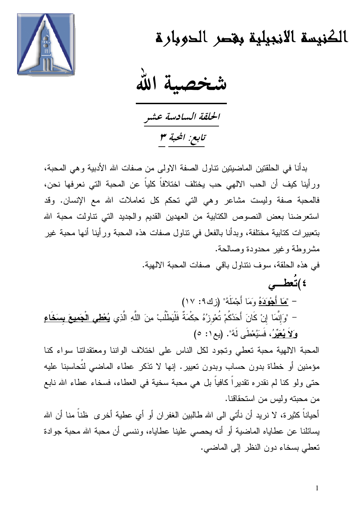

الكنيسة الانجيلية بغصر الحوبارة

شخصية الله

الحلقة السادسة عشر تابع: المحبة ٣

بدأنا في الحلقتين الماضيتين تتاول الصفة الاولى من صفات الله الأدبية وهي المحبة، ور أينا كيف أن الحب الألهى حب يختلف اختلافاً كلياً عن المحبة التي نعرفها نحن، فالمحبة صفة وليست مشاعر وهي التي تحكم كل تعاملات الله مع الإنسان. وقد استعرضنا بعض النصوص الكتابية من العهدين القديم والجديد التي نتاولت محبة الله بتعبيرات كتابية مختلفة، وبدأنا بالفعل في نتاول صفات هذه المحبة ورأينا أنها محبة غير مشروطة وغير محدودة وصالحة. في هذه الحلقة، سوف ننتاول باقي صفات المحبة الالهية. ٤ )تعطــي

– "مَا أَجْوَدَهُ وَمَا أَجْمَلَهُ" (زك7: ١٧) – "وَإِنَّمَا إِنْ كَانَ أَحَدُكُمْ تُعْوِزُهُ حِكْمَةٌ فَلْيَطْلُبْ مِنَ اللَّهِ الَّذِي **يُعْطَى الْجَميعَ بِسَخَاعِ** وَلاَ يُعَيِّرُ، فَسَيُعْطَى لَهُ". (يع ١: ٥)

المحبة الالهية محبة تعطى وتجود لكل الناس على اختلاف الواننا ومعتقداتنا سواء كنا مؤمنين أو خطاة بدون حساب وبدون تعيير. إنها لا تذكر عطاء الماضي لتُحاسبنا عليه حتى ولو كنا لم نقدر ، تقدير أكافياً بل هي محبة سخية في العطاء، فسخاء عطاء الله نابع من محبته وليس من استحقاقنا.

أحياناً كثيرة، لا نريد أن نأتـى الـى الله طـالبين الـغفر ان أو أي عطية أخر ى ظناً منا أن الله يسائلنا عن عطاياه الماضية أو أنه يحصبي علينا عطاياه، وننسى أن محبة الله محبة جوادة تعطي بسخاء دون النظر إلى الماضي.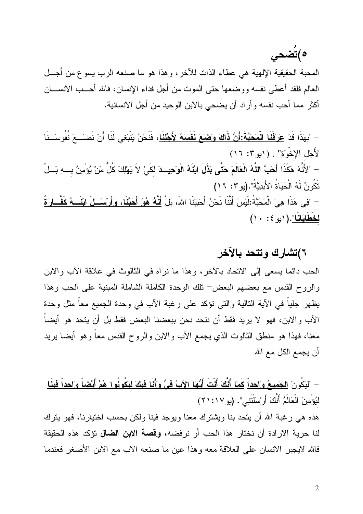ه)تضحى

المحبة الحقيقية الإلهية هي عطاء الذات للأخر، وهذا هو ما صنعه الرب يسوع من أجل العالم فلقد أعطي نفسه ووضعها حتى الموت من أجل فداء الإنسان، فالله أحـــب الانســــان أكثر مما أحب نفسه وأراد أن يضحى بالابن الوحيد من أجل الانسانية.

– "بِهَذَا قَدْ <u>عَرَفْنَا الْمَحَبَّةَ:أَنَّ ذَاكَ وَصَبَعَ نَفْسَهُ لأَجْلن</u>َا، فَنَحْنُ يَنْبَغِى لَذَا أَنْ نَضَــعَ نُفُوسَــنَا لأَجْلِ الإِخْوَةِ" . (ابو ٣: ١٦) – "لأَنَّهُ هَكَذَا <u>أَهَبَّ اللَّهُ الْعَالَمَ هَتَّى بَذَلَ ابْنَهُ الْو<sup>َ</sup>حيثَ</del> لكَيْ لاَ يَهْلِكَ كُلُّ مَنْ يُؤْمِنُ بِبهِ بَسْل<sup>ْ</sup></u> تَكُونُ لَهُ الْحَيَاةُ الأَبَدِيَّةُ".(يو ٢: ١٦) – "فِي هَذَا هِيَ الْمَحَبَّةُ:لَيْسَ أَنَّنَا نَحْنُ أَحْبَبْنَا اللهَ، بَل<mark>ْ أَنَّهُ هُوَ أَحَبَّنَا، وَأَرْسَــلَ ابْنَـــهُ كَفَّــارِ َةً</mark> <u>لحَطَابَانَا"</u>.(۱یو ٤: ۱۰)

## ٦)تشارك وتتحد بالآخر

الحب دائما يسعى إلى الانحاد بالأخر، وهذا ما نراه في الثالوث في علاقة الأب والابن والروح القدس مع بعضهم البعض− نلك الوحدة الكاملة الشاملة المبنية على الحب وهذا يظهر جلياً في الأية النالية والتي نؤكد على رغبة الأب في وحدة الجميع معاً مثل وحدة الآب والابن، فهو لا يريد فقط أن نتحد نحن ببعضنا البعض فقط بل أن يتحد هو أيضاً معنا، فهذا هو منطق الثالوث الذي يجمع الأب والابن والروح القدس معاً وهو أيضاً يريد أن يجمع الكل مع الله

– "ليَكُونَ الْجَمِيعُ وَاحِداً كَمَا أَنَّكَ أَنْتَ أَيُّهَا الآبُ فِيَّ وَأَنَا فِيكَ ليَكُونُوا هُمْ أَيْضاً وَاحِداً فِينَا لْيُؤْمِنَ الْعَالَمُ أَنَّكَ أَرْسَلْتَنِي". (يو ٢١:١٧)

هذه هي رغبة الله أن يتحد بنا ويشترك معنا ويوجد فينا ولكن بحسب اختيارنا، فهو يترك لنا حرية الارادة أن نختار هذا الحب أو نرفضه، **وقصة الابن الضال** تؤكد هذه الحقيقة فالله لايجبر الانسان على العلاقة معه وهذا عين ما صنعه الاب مع الابن الأصغر فعندما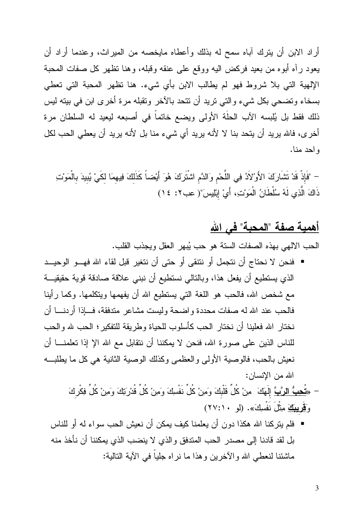أراد الابن أن يترك آباه سمح له بذلك وأعطاه مايخصه من الميراث، وعندما أراد أن يعود رأه أبوه من بعيد فركض اليه ووقع على عنقه وقبله، وهنا نظهر كل صفات المحبة الإلهية التي بلا شروط فهو لم يطالب الابن بأي شيء. هنا نظهر المحبة التي تعطي بسخاء ونضحى بكل شيء والتي نريد أن نتحد بالآخر ونقبله مرة أخرى ابن في بيته ليس ذلك فقط بل يُلبسه الآب الحلَّة الأولىي ويضع خاتماً في أصبعه ليعيد له السلطان مرة أخرى، فالله يريد أن يتحد بنا لا لأنه يريد أي شيء منا بل لأنه يريد أن يعطي الحب لكل و احد منا.

– "فَإِذْ قَدْ تَشَارِكَ الأَوْلاَدُ فِي اللَّحْمِ وَالدَّمِ اشْتَرَكَ هُوَ أَيْضاً كَذَلكَ فِيهمَا لكَيْ يُبيدَ بالْمَوْنـَــِ ذَاكَ الَّذِي لَهُ سُلْطَانُ الْمَوْتِ، أَيْ إِبْلِيسَ"( عب٢: ١٤)

## <u>أهمية صفة "المحبة" في الله</u>

الحب الالهي بهذه الصفات السنة هو حب يُبهر العقل ويجذب القلب.

■ فنحن لا نحتاج أن نتجمل أو نتتقى أو حتى أن نتغير قبل لقاء الله فهـــو الوحيـــد الذي يستطيع أن يفعل هذا، وبالتالي نستطيع أن نبني علاقة صادقة قوية حقيقيـــة مع شخص الله، فالحب هو اللغة التي يستطيع الله أن يفهمها ويتكلمها. وكما رأينا فالحب عند الله له صفات محددة واضحة وليست مشاعر مندفقة، فسإذا أردنسا أن نختار الله فعلينا أن نختار الحب كأسلوب للحياة وطريقة للتفكير؛ الحب لله والحب للناس الذين على صور ة الله، فنحن لا يمكننا أن نتقابل مع الله الإ إذا تعلمنـــا أن نعيش بالحب، فالوصية الأولى والعظمى وكذلك الوصية الثانية هي كل ما يطلب الله من الإنسان:

– «تُعِبُّ الرَّبَّ إِلَهَكَ ۚ مِنْ كُلِّ قَلْبِكَ وَمِنْ كُلِّ نَفْسِكَ وَمِنْ كُلِّ قُدْرَتِكَ وَمِنْ كُلِّ فِكْركَ وَقَرِيبِكَ مِثْلُ نَفْسِكَ». (لو ٢٧:١٠)

▪ فلم يتركنا الله هكذا دون أن يعلمنا كيف يمكن أن نعيش الحب سواء له أو للناس بل لقد قادنا إلى مصدر الحب المندفق والذي لا ينضب الذي يمكننا أن نأخذ منه ماشئنا لنعطي الله والآخرين وهذا ما نر اه جلباً في الآية النالية: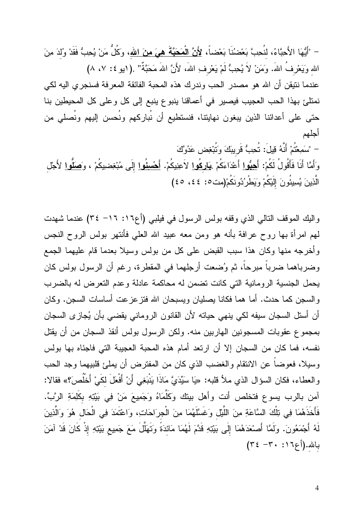– "أَيُّهَا الأَحِيَّاءُ، لنُحِبَّ بَعْضنُنَا بَعْضاً، <u>لأَنَّ الْمَحَبَّةَ هيَ منَ الله</u>، وكُلُّ مَنْ يُحِبُّ فَقَدْ و<sup>ُ</sup>لدَ م*ِن*َ الله وَيَعْرِفُ اللهَ. وَمَنْ لاَ يُحِبُّ لَمْ يَعْرِفِ اللهَ، لأَنَّ اللهَ مَحَبَّةٌ" .(١بو ٤: ٧، ٨) عندما نتيقن أن الله هو مصدر الحب وندرك هذه المحبة الفائقة المعرفة فسنجري اليه لكي نمتلئ بهذا الحب العجيب فيصير في أعماقنا ينبوع ينبع إلى كل وعلى كل المحيطين بنا حتى على أعدائنا الذين يبغون نهايتنا، فنستطيع أن نُباركهم ونُحسن إليهم ونُصلى من أجلهم

– "سَمِعْتُمْ أَنَّهُ قِيلَ: تُحِبُّ قَرِيبَكَ وَتُبْغِض عَدُوَّكَ وَأَمَّا أَنَا فَأَقُولُ لَكُمْ: أَ<u>حِبُوا</u> أَعْدَاءَكُمْ <u>بَارِكُوا</u> لاَعِنِيكُمْ. <u>أَحْسِنُوا</u> إِلَى مُبْغِضيبكُمْ ، وَ<u>صَلُّوا</u> لأَجْل الَّذِينَ يُسِيئُونَ إِلَيْكُمْ وَيَطْرُدُونَكُمْ(مت٥: ٤٤، ٤٥)

واليك الموقف التالي الذي وقفه بولس الرسول في فيلبي (أع١٦: ١٦- ٣٤) عندما شهدت لمهم امرأة بها روح عرافة بأنه هو ومن معه عبيد الله العلمي فأنتهر بولس الروح النجس وأخرجه منها وكان هذا سبب القبض على كل من بولس وسيلا بعدما قام عليهما الجمع وضرباهما ضرباً مبرحاً، ثم وُضعت أرجلهما في المقطرة، رغم أن الرسول بولس كان يحمل الجنسية الرومانية التي كانت تضمن له محاكمة عادلة وعدم التعرض له بالضرب والسجن كما حدث. أما هما فكانا يصليان ويسبحان الله فتزعزعت أساسات السجن. وكان أن أستل السجان سيفه لكي ينهي حياته لأن القانون الروماني يقضي بأن يُجازى السجان بمجموع عقوبات المسجونين الهاربين منه. ولكن الرسول بولس أنقذ السجان من أن يقتل نفسه، فما كان من السجان إلا أن ارتعد أمام هذه المحبة العجيبة التي فاجئاه بها بولس وسيلا، فعوضاً عن الانتقام والغضب الذي كان من المفترض أن يملئ قلبيهما وجد الحب والعطاء، فكان السؤال الذي ملأ قلبه: «يَا سَيِّدَيَّ مَاذَا يَنْبَغِي أَنْ أَفْعَلَ لَكَيْ أَخْلُصَ؟» فقالا: آمن بالرب يسوع فتخلص أنت وأهل بيتك وكَلّْمَاهُ وَجَمِيعَ مَنْ فِي بَيْتِهِ بِكَلِمَةِ الرَّبِّ. فَأَخَذَهُمَا فِي تِلْكَ السَّاعَةِ مِنَ اللَّيْلِ وَغَسَّلَهُمَا مِنَ الْجرَاحَاتِ، وَاعْتَمَدَ فِي الْحَال هُوَ وَالَّذِينَ لَهُ أَجْمَعُونَ. وَلَمَّا أَصْعَدَهُمَا إِلَى بَيْتِهِ قَدَّمَ لَهُمَا مَائدَةً وَتَهَلَّلَ مَعَ جَمِيع بَيْتِهِ إذْ كَانَ قَدْ آمَنَ بالله. (أع ١٦، ٣٠ - ٣٤)